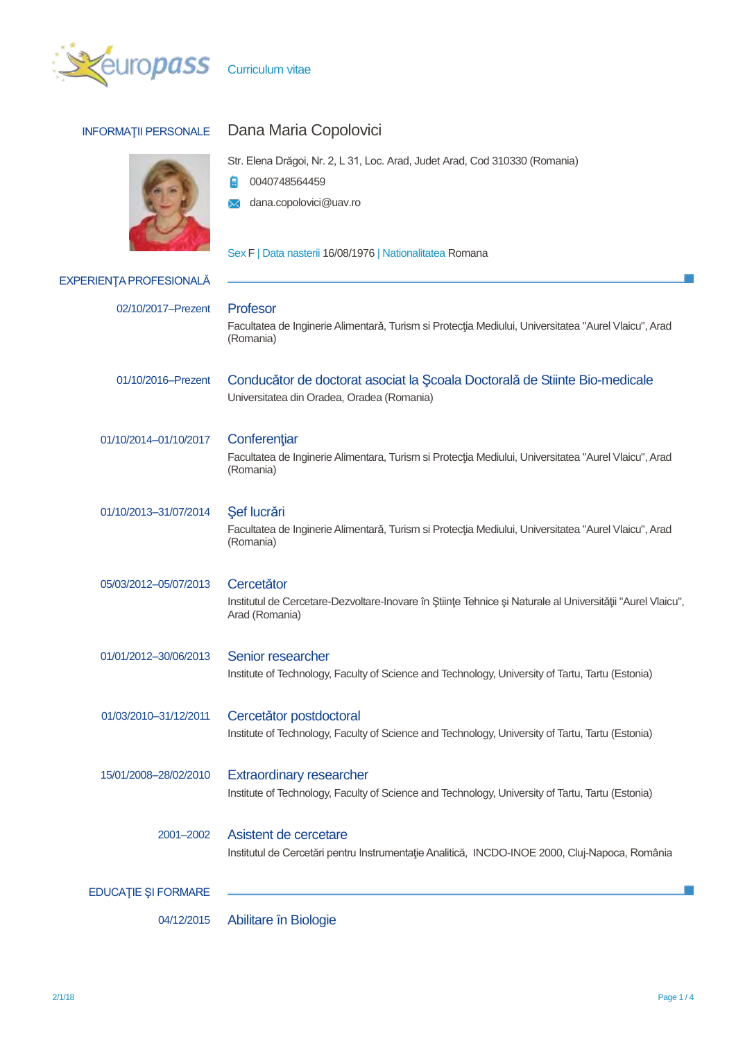

| <b>INFORMATII PERSONALE</b> | Dana Maria Copolovici                                                                                                                      |
|-----------------------------|--------------------------------------------------------------------------------------------------------------------------------------------|
|                             | Str. Elena Drăgoi, Nr. 2, L 31, Loc. Arad, Judet Arad, Cod 310330 (Romania)<br>0040748564459                                               |
|                             | dana.copolovici@uav.ro                                                                                                                     |
|                             | Sex F   Data nasterii 16/08/1976   Nationalitatea Romana                                                                                   |
| EXPERIENȚA PROFESIONALĂ     |                                                                                                                                            |
| 02/10/2017-Prezent          | Profesor<br>Facultatea de Inginerie Alimentară, Turism si Protecția Mediului, Universitatea "Aurel Vlaicu", Arad<br>(Romania)              |
| 01/10/2016-Prezent          | Conducător de doctorat asociat la Școala Doctorală de Stiinte Bio-medicale<br>Universitatea din Oradea, Oradea (Romania)                   |
| 01/10/2014-01/10/2017       | Conferențiar<br>Facultatea de Inginerie Alimentara, Turism si Protecția Mediului, Universitatea "Aurel Vlaicu", Arad<br>(Romania)          |
| 01/10/2013-31/07/2014       | Şef lucrări<br>Facultatea de Inginerie Alimentară, Turism si Protecția Mediului, Universitatea "Aurel Vlaicu", Arad<br>(Romania)           |
| 05/03/2012-05/07/2013       | Cercetător<br>Institutul de Cercetare-Dezvoltare-Inovare în Științe Tehnice și Naturale al Universității "Aurel Vlaicu",<br>Arad (Romania) |
| 01/01/2012-30/06/2013       | Senior researcher<br>Institute of Technology, Faculty of Science and Technology, University of Tartu, Tartu (Estonia)                      |
| 01/03/2010-31/12/2011       | Cercetător postdoctoral<br>Institute of Technology, Faculty of Science and Technology, University of Tartu, Tartu (Estonia)                |
| 15/01/2008-28/02/2010       | <b>Extraordinary researcher</b><br>Institute of Technology, Faculty of Science and Technology, University of Tartu, Tartu (Estonia)        |
| 2001-2002                   | Asistent de cercetare<br>Institutul de Cercetări pentru Instrumentație Analitică, INCDO-INOE 2000, Cluj-Napoca, România                    |
| <b>EDUCATIE ȘI FORMARE</b>  |                                                                                                                                            |

04/12/2015 Abilitare în Biologie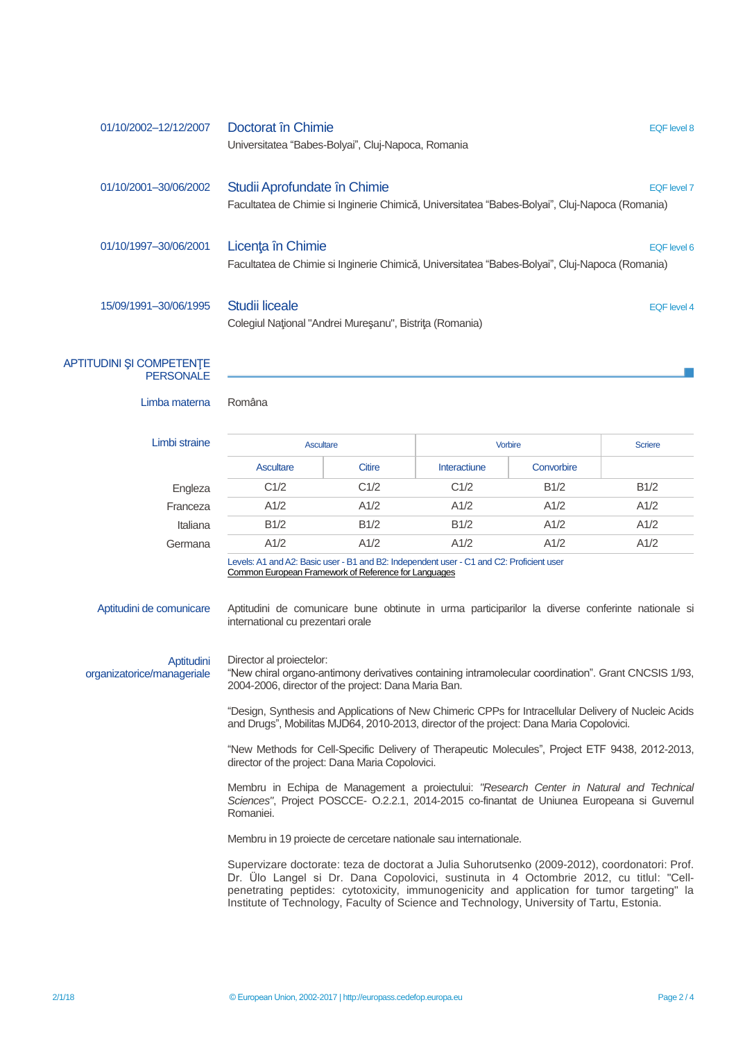| 01/10/2002-12/12/2007 | Doctorat în Chimie<br>Universitatea "Babes-Bolyai", Cluj-Napoca, Romania                                                       | EQF level 8 |
|-----------------------|--------------------------------------------------------------------------------------------------------------------------------|-------------|
| 01/10/2001-30/06/2002 | Studii Aprofundate în Chimie<br>Facultatea de Chimie si Inginerie Chimică, Universitatea "Babes-Bolyai", Clui-Napoca (Romania) | EQF level 7 |
| 01/10/1997-30/06/2001 | Licența în Chimie<br>Facultatea de Chimie si Inginerie Chimică, Universitatea "Babes-Bolyai", Clui-Napoca (Romania)            | EQF level 6 |
| 15/09/1991-30/06/1995 | Studii liceale<br>Colegiul National "Andrei Muresanu", Bistrita (Romania)                                                      | EQF level 4 |

## APTITUDINI SI COMPETENTE PERSONAL F

Limba materna Româna

| Limbi straine | Ascultare |        | <b>Vorbire</b> | <b>Scriere</b> |      |
|---------------|-----------|--------|----------------|----------------|------|
|               | Ascultare | Citire | Interactiune   | Convorbire     |      |
| Engleza       | C1/2      | C1/2   | C1/2           | B1/2           | B1/2 |
| Franceza      | A1/2      | A1/2   | A1/2           | A1/2           | A1/2 |
| Italiana      | B1/2      | B1/2   | B1/2           | A1/2           | A1/2 |
| Germana       | A1/2      | A1/2   | A1/2           | A1/2           | A1/2 |

Levels: A1 and A2: Basic user - B1 and B2: Independent user - C1 and C2: Proficient user [Common European Framework of Reference for Languages](http://europass.cedefop.europa.eu/en/resources/european-language-levels-cefr)

Aptitudini de comunicare Aptitudini de comunicare bune obtinute in urma participarilor la diverse conferinte nationale si

international cu prezentari orale

Aptitudini organizatorice/manageriale Director al proiectelor:

"New chiral organo-antimony derivatives containing intramolecular coordination". Grant CNCSIS 1/93, 2004-2006, director of the project: Dana Maria Ban.

["Design, Synthesis and Applications of New Chimeric CPPs for Intracellular Delivery of Nucleic Acids](javascript:__doPostBack()  [and Drugs"](javascript:__doPostBack(), Mobilitas MJD64, 2010-2013, director of the project: Dana Maria Copolovici.

["New Methods for Cell-Specific Delivery of Therapeutic Molecules"](javascript:__doPostBack(), Project ETF 9438, 2012-2013, director of the project: Dana Maria Copolovici.

Membru in Echipa de Management a proiectului: *"Research Center in Natural and Technical Sciences"*, Project POSCCE- O.2.2.1, 2014-2015 co-finantat de Uniunea Europeana si Guvernul Romaniei.

Membru in 19 proiecte de cercetare nationale sau internationale.

Supervizare doctorate: teza de doctorat a Julia Suhorutsenko (2009-2012), coordonatori: Prof. Dr. Ülo Langel si Dr. Dana Copolovici, sustinuta in 4 Octombrie 2012, cu titlul: "Cellpenetrating peptides: cytotoxicity, immunogenicity and application for tumor targeting" la Institute of Technology, Faculty of Science and Technology, University of Tartu, Estonia.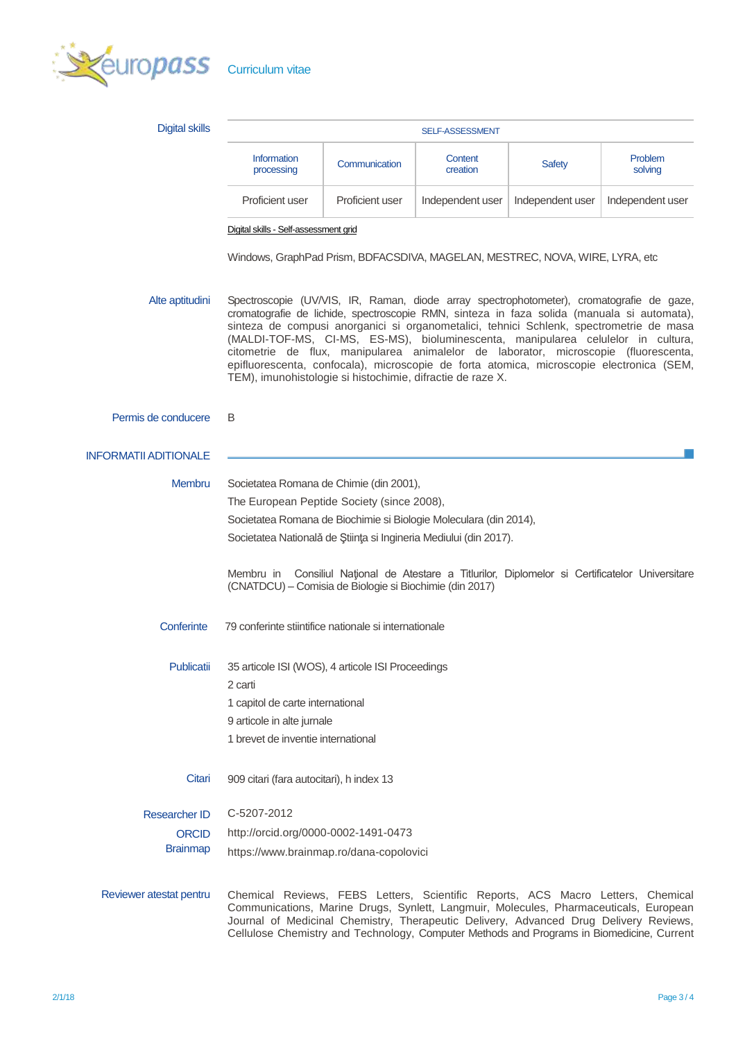

| <b>Digital skills</b>                                                                                              | <b>SELF-ASSESSMENT</b>                                                                                                                                                                                                                                                                                                                                                                                                                                                                                                                                                                                                 |                 |                     |                  |                    |  |  |  |
|--------------------------------------------------------------------------------------------------------------------|------------------------------------------------------------------------------------------------------------------------------------------------------------------------------------------------------------------------------------------------------------------------------------------------------------------------------------------------------------------------------------------------------------------------------------------------------------------------------------------------------------------------------------------------------------------------------------------------------------------------|-----------------|---------------------|------------------|--------------------|--|--|--|
|                                                                                                                    | <b>Information</b><br>processing                                                                                                                                                                                                                                                                                                                                                                                                                                                                                                                                                                                       | Communication   | Content<br>creation | <b>Safety</b>    | Problem<br>solving |  |  |  |
|                                                                                                                    | Proficient user                                                                                                                                                                                                                                                                                                                                                                                                                                                                                                                                                                                                        | Proficient user | Independent user    | Independent user | Independent user   |  |  |  |
|                                                                                                                    | Digital skills - Self-assessment grid                                                                                                                                                                                                                                                                                                                                                                                                                                                                                                                                                                                  |                 |                     |                  |                    |  |  |  |
|                                                                                                                    | Windows, GraphPad Prism, BDFACSDIVA, MAGELAN, MESTREC, NOVA, WIRE, LYRA, etc                                                                                                                                                                                                                                                                                                                                                                                                                                                                                                                                           |                 |                     |                  |                    |  |  |  |
| Alte aptitudini                                                                                                    | Spectroscopie (UV/VIS, IR, Raman, diode array spectrophotometer), cromatografie de gaze,<br>cromatografie de lichide, spectroscopie RMN, sinteza in faza solida (manuala si automata),<br>sinteza de compusi anorganici si organometalici, tehnici Schlenk, spectrometrie de masa<br>(MALDI-TOF-MS, CI-MS, ES-MS), bioluminescenta, manipularea celulelor in cultura,<br>citometrie de flux, manipularea animalelor de laborator, microscopie (fluorescenta,<br>epifluorescenta, confocala), microscopie de forta atomica, microscopie electronica (SEM,<br>TEM), imunohistologie si histochimie, difractie de raze X. |                 |                     |                  |                    |  |  |  |
| Permis de conducere                                                                                                | B                                                                                                                                                                                                                                                                                                                                                                                                                                                                                                                                                                                                                      |                 |                     |                  |                    |  |  |  |
| <b>INFORMATII ADITIONALE</b>                                                                                       |                                                                                                                                                                                                                                                                                                                                                                                                                                                                                                                                                                                                                        |                 |                     |                  |                    |  |  |  |
| <b>Membru</b>                                                                                                      | Societatea Romana de Chimie (din 2001),                                                                                                                                                                                                                                                                                                                                                                                                                                                                                                                                                                                |                 |                     |                  |                    |  |  |  |
|                                                                                                                    | The European Peptide Society (since 2008),                                                                                                                                                                                                                                                                                                                                                                                                                                                                                                                                                                             |                 |                     |                  |                    |  |  |  |
|                                                                                                                    | Societatea Romana de Biochimie si Biologie Moleculara (din 2014),                                                                                                                                                                                                                                                                                                                                                                                                                                                                                                                                                      |                 |                     |                  |                    |  |  |  |
|                                                                                                                    | Societatea Natională de Știința si Ingineria Mediului (din 2017).                                                                                                                                                                                                                                                                                                                                                                                                                                                                                                                                                      |                 |                     |                  |                    |  |  |  |
|                                                                                                                    | Membru in Consiliul Național de Atestare a Titlurilor, Diplomelor si Certificatelor Universitare<br>(CNATDCU) - Comisia de Biologie si Biochimie (din 2017)                                                                                                                                                                                                                                                                                                                                                                                                                                                            |                 |                     |                  |                    |  |  |  |
| Conferinte                                                                                                         | 79 conferinte stiintifice nationale si internationale                                                                                                                                                                                                                                                                                                                                                                                                                                                                                                                                                                  |                 |                     |                  |                    |  |  |  |
| Publicatii                                                                                                         | 35 articole ISI (WOS), 4 articole ISI Proceedings<br>2 carti                                                                                                                                                                                                                                                                                                                                                                                                                                                                                                                                                           |                 |                     |                  |                    |  |  |  |
|                                                                                                                    | 1 capitol de carte international                                                                                                                                                                                                                                                                                                                                                                                                                                                                                                                                                                                       |                 |                     |                  |                    |  |  |  |
|                                                                                                                    | 9 articole in alte jurnale                                                                                                                                                                                                                                                                                                                                                                                                                                                                                                                                                                                             |                 |                     |                  |                    |  |  |  |
|                                                                                                                    | 1 brevet de inventie international                                                                                                                                                                                                                                                                                                                                                                                                                                                                                                                                                                                     |                 |                     |                  |                    |  |  |  |
| Citari                                                                                                             | 909 citari (fara autocitari), h index 13                                                                                                                                                                                                                                                                                                                                                                                                                                                                                                                                                                               |                 |                     |                  |                    |  |  |  |
| Researcher ID                                                                                                      | C-5207-2012                                                                                                                                                                                                                                                                                                                                                                                                                                                                                                                                                                                                            |                 |                     |                  |                    |  |  |  |
| http://orcid.org/0000-0002-1491-0473<br><b>ORCID</b><br><b>Brainmap</b><br>https://www.brainmap.ro/dana-copolovici |                                                                                                                                                                                                                                                                                                                                                                                                                                                                                                                                                                                                                        |                 |                     |                  |                    |  |  |  |

Reviewer atestat pentru Chemical Reviews, FEBS Letters, Scientific Reports, ACS Macro Letters, Chemical Communications, Marine Drugs, Synlett, Langmuir, Molecules, Pharmaceuticals, European Journal of Medicinal Chemistry, Therapeutic Delivery, Advanced Drug Delivery Reviews, Cellulose Chemistry and Technology, Computer Methods and Programs in Biomedicine, Current